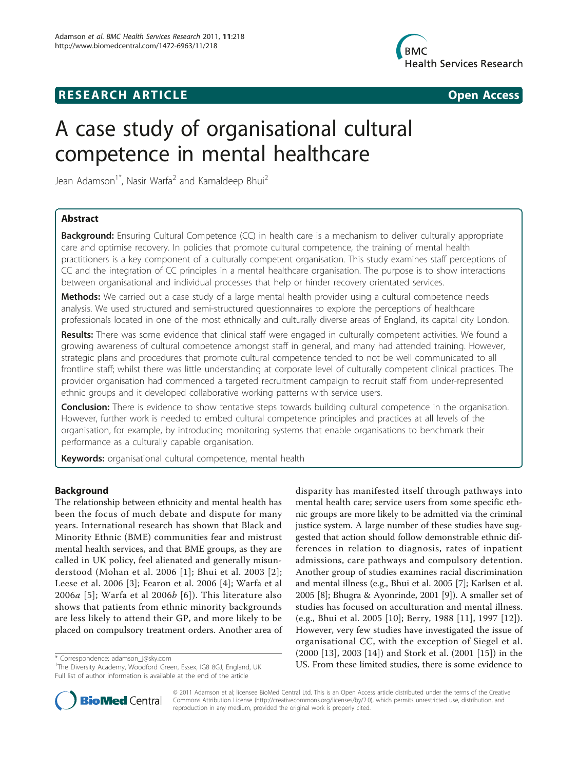## **RESEARCH ARTICLE Example 2014 CONSUMING A CONSUMING A CONSUMING A CONSUMING A CONSUMING A CONSUMING A CONSUMING A CONSUMING A CONSUMING A CONSUMING A CONSUMING A CONSUMING A CONSUMING A CONSUMING A CONSUMING A CONSUMI**



# A case study of organisational cultural competence in mental healthcare

Jean Adamson<sup>1\*</sup>, Nasir Warfa<sup>2</sup> and Kamaldeep Bhui<sup>2</sup>

### Abstract

Background: Ensuring Cultural Competence (CC) in health care is a mechanism to deliver culturally appropriate care and optimise recovery. In policies that promote cultural competence, the training of mental health practitioners is a key component of a culturally competent organisation. This study examines staff perceptions of CC and the integration of CC principles in a mental healthcare organisation. The purpose is to show interactions between organisational and individual processes that help or hinder recovery orientated services.

Methods: We carried out a case study of a large mental health provider using a cultural competence needs analysis. We used structured and semi-structured questionnaires to explore the perceptions of healthcare professionals located in one of the most ethnically and culturally diverse areas of England, its capital city London.

Results: There was some evidence that clinical staff were engaged in culturally competent activities. We found a growing awareness of cultural competence amongst staff in general, and many had attended training. However, strategic plans and procedures that promote cultural competence tended to not be well communicated to all frontline staff; whilst there was little understanding at corporate level of culturally competent clinical practices. The provider organisation had commenced a targeted recruitment campaign to recruit staff from under-represented ethnic groups and it developed collaborative working patterns with service users.

**Conclusion:** There is evidence to show tentative steps towards building cultural competence in the organisation. However, further work is needed to embed cultural competence principles and practices at all levels of the organisation, for example, by introducing monitoring systems that enable organisations to benchmark their performance as a culturally capable organisation.

Keywords: organisational cultural competence, mental health

### Background

The relationship between ethnicity and mental health has been the focus of much debate and dispute for many years. International research has shown that Black and Minority Ethnic (BME) communities fear and mistrust mental health services, and that BME groups, as they are called in UK policy, feel alienated and generally misunderstood (Mohan et al. 2006 [[1](#page-6-0)]; Bhui et al. 2003 [[2\]](#page-6-0); Leese et al. 2006 [\[3](#page-6-0)]; Fearon et al. 2006 [[4\]](#page-6-0); Warfa et al 2006 $a$  [[5](#page-6-0)]; Warfa et al 2006 $b$  [[6\]](#page-6-0)). This literature also shows that patients from ethnic minority backgrounds are less likely to attend their GP, and more likely to be placed on compulsory treatment orders. Another area of

disparity has manifested itself through pathways into mental health care; service users from some specific ethnic groups are more likely to be admitted via the criminal justice system. A large number of these studies have suggested that action should follow demonstrable ethnic differences in relation to diagnosis, rates of inpatient admissions, care pathways and compulsory detention. Another group of studies examines racial discrimination and mental illness (e.g., Bhui et al. 2005 [[7](#page-6-0)]; Karlsen et al. 2005 [\[8](#page-6-0)]; Bhugra & Ayonrinde, 2001 [\[9](#page-6-0)]). A smaller set of studies has focused on acculturation and mental illness. (e.g., Bhui et al. 2005 [\[10\]](#page-6-0); Berry, 1988 [[11](#page-7-0)], 1997 [[12\]](#page-7-0)). However, very few studies have investigated the issue of organisational CC, with the exception of Siegel et al. (2000 [\[13](#page-7-0)], 2003 [[14](#page-7-0)]) and Stork et al. (2001 [[15\]](#page-7-0)) in the Examplement and the studies, there is some evidence to the studies, there is some evidence to the studies, there is some evidence to  $\sim$  US. From these limited studies, there is some evidence to



© 2011 Adamson et al; licensee BioMed Central Ltd. This is an Open Access article distributed under the terms of the Creative Commons Attribution License [\(http://creativecommons.org/licenses/by/2.0](http://creativecommons.org/licenses/by/2.0)), which permits unrestricted use, distribution, and reproduction in any medium, provided the original work is properly cited.

<sup>&</sup>lt;sup>1</sup>The Diversity Academy, Woodford Green, Essex, IG8 8GJ, England, UK Full list of author information is available at the end of the article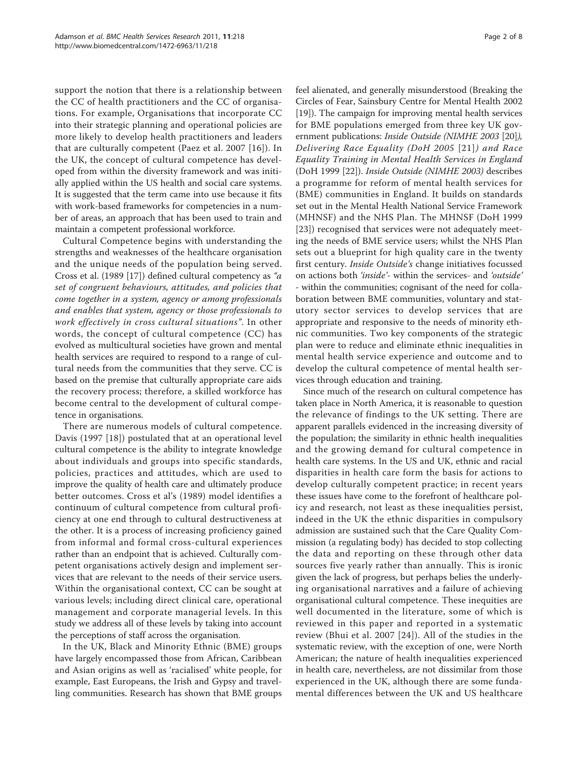support the notion that there is a relationship between the CC of health practitioners and the CC of organisations. For example, Organisations that incorporate CC into their strategic planning and operational policies are more likely to develop health practitioners and leaders that are culturally competent (Paez et al. 2007 [\[16\]](#page-7-0)). In the UK, the concept of cultural competence has developed from within the diversity framework and was initially applied within the US health and social care systems. It is suggested that the term came into use because it fits with work-based frameworks for competencies in a number of areas, an approach that has been used to train and maintain a competent professional workforce.

Cultural Competence begins with understanding the strengths and weaknesses of the healthcare organisation and the unique needs of the population being served. Cross et al. (1989 [\[17](#page-7-0)]) defined cultural competency as "a set of congruent behaviours, attitudes, and policies that come together in a system, agency or among professionals and enables that system, agency or those professionals to work effectively in cross cultural situations". In other words, the concept of cultural competence (CC) has evolved as multicultural societies have grown and mental health services are required to respond to a range of cultural needs from the communities that they serve. CC is based on the premise that culturally appropriate care aids the recovery process; therefore, a skilled workforce has become central to the development of cultural competence in organisations.

There are numerous models of cultural competence. Davis (1997 [\[18](#page-7-0)]) postulated that at an operational level cultural competence is the ability to integrate knowledge about individuals and groups into specific standards, policies, practices and attitudes, which are used to improve the quality of health care and ultimately produce better outcomes. Cross et al's (1989) model identifies a continuum of cultural competence from cultural proficiency at one end through to cultural destructiveness at the other. It is a process of increasing proficiency gained from informal and formal cross-cultural experiences rather than an endpoint that is achieved. Culturally competent organisations actively design and implement services that are relevant to the needs of their service users. Within the organisational context, CC can be sought at various levels; including direct clinical care, operational management and corporate managerial levels. In this study we address all of these levels by taking into account the perceptions of staff across the organisation.

In the UK, Black and Minority Ethnic (BME) groups have largely encompassed those from African, Caribbean and Asian origins as well as 'racialised' white people, for example, East Europeans, the Irish and Gypsy and travelling communities. Research has shown that BME groups feel alienated, and generally misunderstood (Breaking the Circles of Fear, Sainsbury Centre for Mental Health 2002 [[19\]](#page-7-0)). The campaign for improving mental health services for BME populations emerged from three key UK government publications: Inside Outside (NIMHE 2003 [\[20](#page-7-0)]), Delivering Race Equality (DoH 2005 [[21\]](#page-7-0)) and Race Equality Training in Mental Health Services in England (DoH 1999 [[22\]](#page-7-0)). Inside Outside (NIMHE 2003) describes a programme for reform of mental health services for (BME) communities in England. It builds on standards set out in the Mental Health National Service Framework (MHNSF) and the NHS Plan. The MHNSF (DoH 1999 [[23\]](#page-7-0)) recognised that services were not adequately meeting the needs of BME service users; whilst the NHS Plan sets out a blueprint for high quality care in the twenty first century. Inside Outside's change initiatives focussed on actions both 'inside'- within the services- and 'outside' - within the communities; cognisant of the need for collaboration between BME communities, voluntary and statutory sector services to develop services that are appropriate and responsive to the needs of minority ethnic communities. Two key components of the strategic plan were to reduce and eliminate ethnic inequalities in mental health service experience and outcome and to develop the cultural competence of mental health services through education and training.

Since much of the research on cultural competence has taken place in North America, it is reasonable to question the relevance of findings to the UK setting. There are apparent parallels evidenced in the increasing diversity of the population; the similarity in ethnic health inequalities and the growing demand for cultural competence in health care systems. In the US and UK, ethnic and racial disparities in health care form the basis for actions to develop culturally competent practice; in recent years these issues have come to the forefront of healthcare policy and research, not least as these inequalities persist, indeed in the UK the ethnic disparities in compulsory admission are sustained such that the Care Quality Commission (a regulating body) has decided to stop collecting the data and reporting on these through other data sources five yearly rather than annually. This is ironic given the lack of progress, but perhaps belies the underlying organisational narratives and a failure of achieving organisational cultural competence. These inequities are well documented in the literature, some of which is reviewed in this paper and reported in a systematic review (Bhui et al. 2007 [[24\]](#page-7-0)). All of the studies in the systematic review, with the exception of one, were North American; the nature of health inequalities experienced in health care, nevertheless, are not dissimilar from those experienced in the UK, although there are some fundamental differences between the UK and US healthcare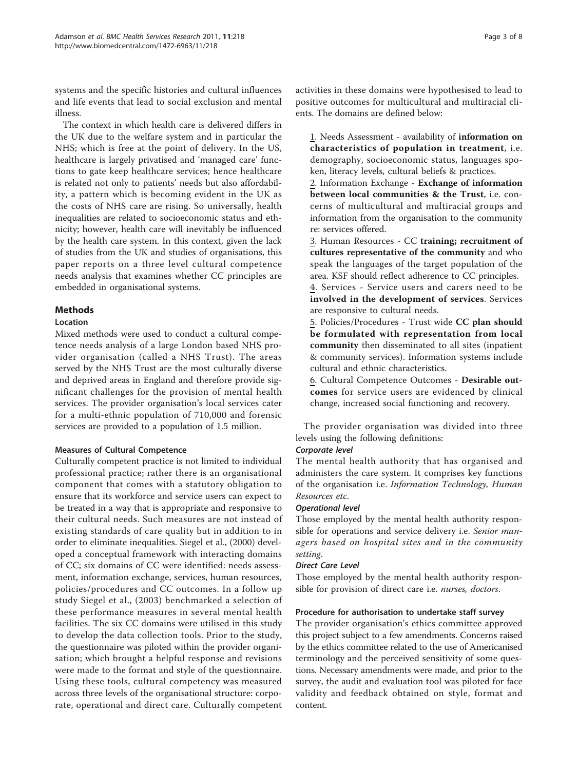systems and the specific histories and cultural influences and life events that lead to social exclusion and mental illness.

The context in which health care is delivered differs in the UK due to the welfare system and in particular the NHS; which is free at the point of delivery. In the US, healthcare is largely privatised and 'managed care' functions to gate keep healthcare services; hence healthcare is related not only to patients' needs but also affordability, a pattern which is becoming evident in the UK as the costs of NHS care are rising. So universally, health inequalities are related to socioeconomic status and ethnicity; however, health care will inevitably be influenced by the health care system. In this context, given the lack of studies from the UK and studies of organisations, this paper reports on a three level cultural competence needs analysis that examines whether CC principles are embedded in organisational systems.

### Methods

### Location

Mixed methods were used to conduct a cultural competence needs analysis of a large London based NHS provider organisation (called a NHS Trust). The areas served by the NHS Trust are the most culturally diverse and deprived areas in England and therefore provide significant challenges for the provision of mental health services. The provider organisation's local services cater for a multi-ethnic population of 710,000 and forensic services are provided to a population of 1.5 million.

### Measures of Cultural Competence

Culturally competent practice is not limited to individual professional practice; rather there is an organisational component that comes with a statutory obligation to ensure that its workforce and service users can expect to be treated in a way that is appropriate and responsive to their cultural needs. Such measures are not instead of existing standards of care quality but in addition to in order to eliminate inequalities. Siegel et al., (2000) developed a conceptual framework with interacting domains of CC; six domains of CC were identified: needs assessment, information exchange, services, human resources, policies/procedures and CC outcomes. In a follow up study Siegel et al., (2003) benchmarked a selection of these performance measures in several mental health facilities. The six CC domains were utilised in this study to develop the data collection tools. Prior to the study, the questionnaire was piloted within the provider organisation; which brought a helpful response and revisions were made to the format and style of the questionnaire. Using these tools, cultural competency was measured across three levels of the organisational structure: corporate, operational and direct care. Culturally competent

activities in these domains were hypothesised to lead to positive outcomes for multicultural and multiracial clients. The domains are defined below:

1. Needs Assessment - availability of information on characteristics of population in treatment, i.e. demography, socioeconomic status, languages spoken, literacy levels, cultural beliefs & practices.

2. Information Exchange - Exchange of information between local communities & the Trust, i.e. concerns of multicultural and multiracial groups and information from the organisation to the community re: services offered.

3. Human Resources - CC training; recruitment of cultures representative of the community and who speak the languages of the target population of the area. KSF should reflect adherence to CC principles.

4. Services - Service users and carers need to be involved in the development of services. Services are responsive to cultural needs.

5. Policies/Procedures - Trust wide CC plan should be formulated with representation from local community then disseminated to all sites (inpatient & community services). Information systems include cultural and ethnic characteristics.

6. Cultural Competence Outcomes - Desirable outcomes for service users are evidenced by clinical change, increased social functioning and recovery.

The provider organisation was divided into three levels using the following definitions:

The mental health authority that has organised and administers the care system. It comprises key functions of the organisation i.e. Information Technology, Human Resources etc.

Those employed by the mental health authority responsible for operations and service delivery i.e. Senior managers based on hospital sites and in the community setting.

Those employed by the mental health authority responsible for provision of direct care i.e. nurses, doctors.

### Procedure for authorisation to undertake staff survey

The provider organisation's ethics committee approved this project subject to a few amendments. Concerns raised by the ethics committee related to the use of Americanised terminology and the perceived sensitivity of some questions. Necessary amendments were made, and prior to the survey, the audit and evaluation tool was piloted for face validity and feedback obtained on style, format and content.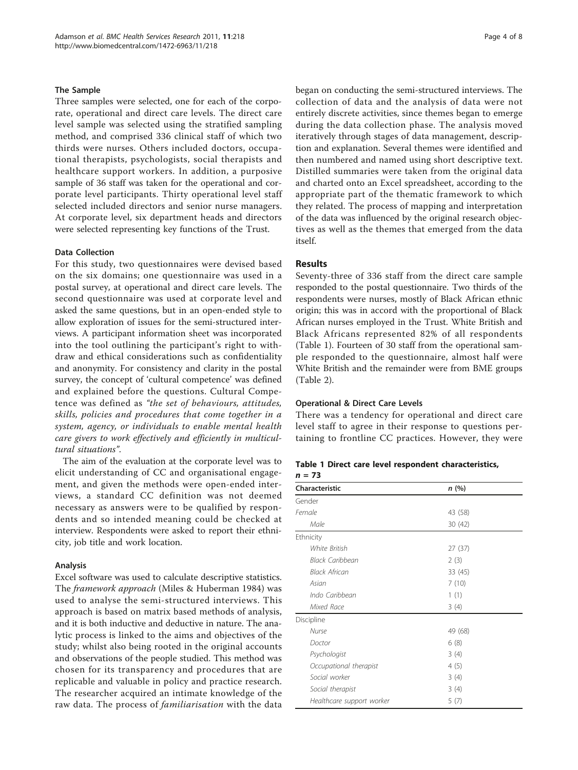### The Sample

Three samples were selected, one for each of the corporate, operational and direct care levels. The direct care level sample was selected using the stratified sampling method, and comprised 336 clinical staff of which two thirds were nurses. Others included doctors, occupational therapists, psychologists, social therapists and healthcare support workers. In addition, a purposive sample of 36 staff was taken for the operational and corporate level participants. Thirty operational level staff selected included directors and senior nurse managers. At corporate level, six department heads and directors were selected representing key functions of the Trust.

### Data Collection

For this study, two questionnaires were devised based on the six domains; one questionnaire was used in a postal survey, at operational and direct care levels. The second questionnaire was used at corporate level and asked the same questions, but in an open-ended style to allow exploration of issues for the semi-structured interviews. A participant information sheet was incorporated into the tool outlining the participant's right to withdraw and ethical considerations such as confidentiality and anonymity. For consistency and clarity in the postal survey, the concept of 'cultural competence' was defined and explained before the questions. Cultural Competence was defined as "the set of behaviours, attitudes, skills, policies and procedures that come together in a system, agency, or individuals to enable mental health care givers to work effectively and efficiently in multicultural situations".

The aim of the evaluation at the corporate level was to elicit understanding of CC and organisational engagement, and given the methods were open-ended interviews, a standard CC definition was not deemed necessary as answers were to be qualified by respondents and so intended meaning could be checked at interview. Respondents were asked to report their ethnicity, job title and work location.

### Analysis

Excel software was used to calculate descriptive statistics. The framework approach (Miles & Huberman 1984) was used to analyse the semi-structured interviews. This approach is based on matrix based methods of analysis, and it is both inductive and deductive in nature. The analytic process is linked to the aims and objectives of the study; whilst also being rooted in the original accounts and observations of the people studied. This method was chosen for its transparency and procedures that are replicable and valuable in policy and practice research. The researcher acquired an intimate knowledge of the raw data. The process of familiarisation with the data began on conducting the semi-structured interviews. The collection of data and the analysis of data were not entirely discrete activities, since themes began to emerge during the data collection phase. The analysis moved iteratively through stages of data management, description and explanation. Several themes were identified and then numbered and named using short descriptive text. Distilled summaries were taken from the original data and charted onto an Excel spreadsheet, according to the appropriate part of the thematic framework to which they related. The process of mapping and interpretation of the data was influenced by the original research objectives as well as the themes that emerged from the data itself.

### Results

Seventy-three of 336 staff from the direct care sample responded to the postal questionnaire. Two thirds of the respondents were nurses, mostly of Black African ethnic origin; this was in accord with the proportional of Black African nurses employed in the Trust. White British and Black Africans represented 82% of all respondents (Table 1). Fourteen of 30 staff from the operational sample responded to the questionnaire, almost half were White British and the remainder were from BME groups (Table [2\)](#page-4-0).

### Operational & Direct Care Levels

There was a tendency for operational and direct care level staff to agree in their response to questions pertaining to frontline CC practices. However, they were

Table 1 Direct care level respondent characteristics,  $n = 73$ 

| Characteristic            | n(%)    |  |  |  |
|---------------------------|---------|--|--|--|
| Gender                    |         |  |  |  |
| Female                    | 43 (58) |  |  |  |
| Male                      | 30(42)  |  |  |  |
| Ethnicity                 |         |  |  |  |
| White British             | 27(37)  |  |  |  |
| Black Caribbean           | 2(3)    |  |  |  |
| Black African             | 33 (45) |  |  |  |
| Asian                     | 7(10)   |  |  |  |
| Indo Caribbean            | 1(1)    |  |  |  |
| Mixed Race                | 3(4)    |  |  |  |
| Discipline                |         |  |  |  |
| Nurse                     | 49 (68) |  |  |  |
| Doctor                    | 6(8)    |  |  |  |
| Psychologist              | 3(4)    |  |  |  |
| Occupational therapist    | 4(5)    |  |  |  |
| Social worker             | 3(4)    |  |  |  |
| Social therapist          | 3(4)    |  |  |  |
| Healthcare support worker | 5(7)    |  |  |  |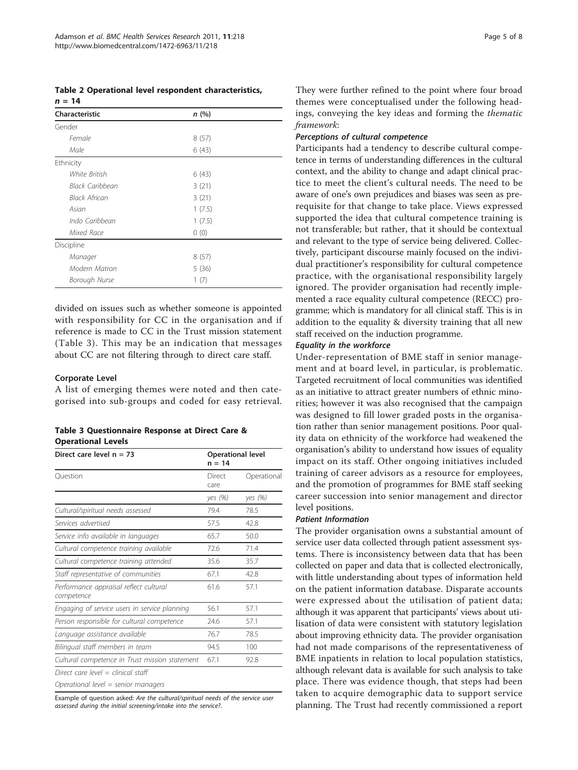<span id="page-4-0"></span>Table 2 Operational level respondent characteristics,  $n = 14$ 

| Characteristic         | n(%)   |
|------------------------|--------|
| Gender                 |        |
| Female                 | 8(57)  |
| Male                   | 6(43)  |
| Ethnicity              |        |
| White British          | 6 (43) |
| <b>Black Caribbean</b> | 3(21)  |
| <b>Black African</b>   | 3(21)  |
| Asian                  | 1(7.5) |
| Indo Caribbean         | 1(7.5) |
| Mixed Race             | 0(0)   |
| Discipline             |        |
| Manager                | 8(57)  |
| Modern Matron          | 5(36)  |
| Borough Nurse          | 1(7)   |

divided on issues such as whether someone is appointed with responsibility for CC in the organisation and if reference is made to CC in the Trust mission statement (Table 3). This may be an indication that messages about CC are not filtering through to direct care staff.

### Corporate Level

A list of emerging themes were noted and then categorised into sub-groups and coded for easy retrieval.

| Table 3 Questionnaire Response at Direct Care & |  |  |  |
|-------------------------------------------------|--|--|--|
| <b>Operational Levels</b>                       |  |  |  |

| Direct care level $n = 73$                           | <b>Operational level</b><br>$n = 14$ |             |  |  |
|------------------------------------------------------|--------------------------------------|-------------|--|--|
| Ouestion                                             | Direct<br>care                       | Operational |  |  |
|                                                      | yes $(\%)$                           | yes $(%)$   |  |  |
| Cultural/spiritual needs assessed                    | 79.4                                 | 78.5        |  |  |
| Services advertised                                  | 57.5                                 | 42.8        |  |  |
| Service info available in languages                  | 65.7                                 | 50.0        |  |  |
| Cultural competence training available               | 72.6                                 | 71.4        |  |  |
| Cultural competence training attended                | 35.6                                 | 35.7        |  |  |
| Staff representative of communities                  | 67.1                                 | 42.8        |  |  |
| Performance appraisal reflect cultural<br>competence | 61.6                                 | 57.1        |  |  |
| Engaging of service users in service planning        | 56.1                                 | 57.1        |  |  |
| Person responsible for cultural competence           | 24.6                                 | 57.1        |  |  |
| Language assistance available                        | 76.7                                 | 78.5        |  |  |
| Bilingual staff members in team                      | 94.5                                 | 100         |  |  |
| Cultural competence in Trust mission statement       | 67.1                                 | 92.8        |  |  |
| Direct care level $=$ clinical staff                 |                                      |             |  |  |
| Operational level $=$ senior managers                |                                      |             |  |  |

Example of question asked: Are the cultural/spiritual needs of the service user assessed during the initial screening/intake into the service?.

They were further refined to the point where four broad themes were conceptualised under the following headings, conveying the key ideas and forming the thematic framework:

Participants had a tendency to describe cultural competence in terms of understanding differences in the cultural context, and the ability to change and adapt clinical practice to meet the client's cultural needs. The need to be aware of one's own prejudices and biases was seen as prerequisite for that change to take place. Views expressed supported the idea that cultural competence training is not transferable; but rather, that it should be contextual and relevant to the type of service being delivered. Collectively, participant discourse mainly focused on the individual practitioner's responsibility for cultural competence practice, with the organisational responsibility largely ignored. The provider organisation had recently implemented a race equality cultural competence (RECC) programme; which is mandatory for all clinical staff. This is in addition to the equality & diversity training that all new staff received on the induction programme.

Under-representation of BME staff in senior management and at board level, in particular, is problematic. Targeted recruitment of local communities was identified as an initiative to attract greater numbers of ethnic minorities; however it was also recognised that the campaign was designed to fill lower graded posts in the organisation rather than senior management positions. Poor quality data on ethnicity of the workforce had weakened the organisation's ability to understand how issues of equality impact on its staff. Other ongoing initiatives included training of career advisors as a resource for employees, and the promotion of programmes for BME staff seeking career succession into senior management and director level positions.

The provider organisation owns a substantial amount of service user data collected through patient assessment systems. There is inconsistency between data that has been collected on paper and data that is collected electronically, with little understanding about types of information held on the patient information database. Disparate accounts were expressed about the utilisation of patient data; although it was apparent that participants' views about utilisation of data were consistent with statutory legislation about improving ethnicity data. The provider organisation had not made comparisons of the representativeness of BME inpatients in relation to local population statistics, although relevant data is available for such analysis to take place. There was evidence though, that steps had been taken to acquire demographic data to support service planning. The Trust had recently commissioned a report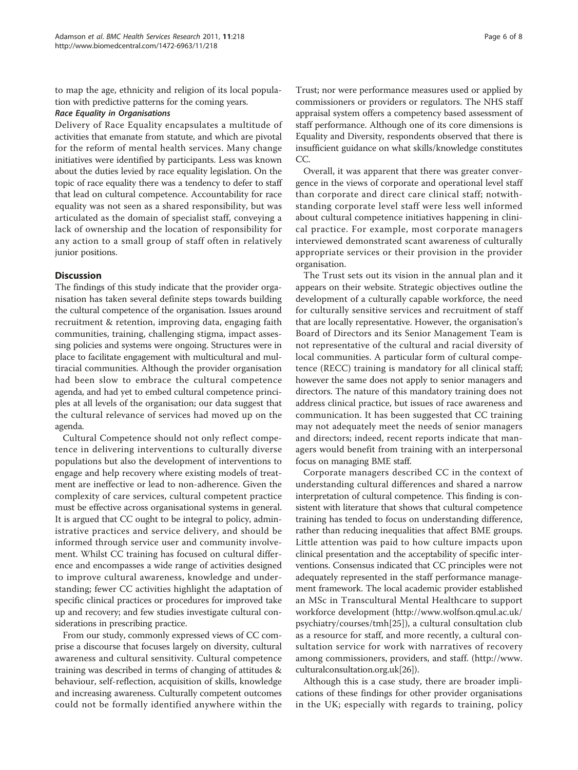to map the age, ethnicity and religion of its local population with predictive patterns for the coming years.

Delivery of Race Equality encapsulates a multitude of activities that emanate from statute, and which are pivotal for the reform of mental health services. Many change initiatives were identified by participants. Less was known about the duties levied by race equality legislation. On the topic of race equality there was a tendency to defer to staff that lead on cultural competence. Accountability for race equality was not seen as a shared responsibility, but was articulated as the domain of specialist staff, conveying a lack of ownership and the location of responsibility for any action to a small group of staff often in relatively junior positions.

### **Discussion**

The findings of this study indicate that the provider organisation has taken several definite steps towards building the cultural competence of the organisation. Issues around recruitment & retention, improving data, engaging faith communities, training, challenging stigma, impact assessing policies and systems were ongoing. Structures were in place to facilitate engagement with multicultural and multiracial communities. Although the provider organisation had been slow to embrace the cultural competence agenda, and had yet to embed cultural competence principles at all levels of the organisation; our data suggest that the cultural relevance of services had moved up on the agenda.

Cultural Competence should not only reflect competence in delivering interventions to culturally diverse populations but also the development of interventions to engage and help recovery where existing models of treatment are ineffective or lead to non-adherence. Given the complexity of care services, cultural competent practice must be effective across organisational systems in general. It is argued that CC ought to be integral to policy, administrative practices and service delivery, and should be informed through service user and community involvement. Whilst CC training has focused on cultural difference and encompasses a wide range of activities designed to improve cultural awareness, knowledge and understanding; fewer CC activities highlight the adaptation of specific clinical practices or procedures for improved take up and recovery; and few studies investigate cultural considerations in prescribing practice.

From our study, commonly expressed views of CC comprise a discourse that focuses largely on diversity, cultural awareness and cultural sensitivity. Cultural competence training was described in terms of changing of attitudes & behaviour, self-reflection, acquisition of skills, knowledge and increasing awareness. Culturally competent outcomes could not be formally identified anywhere within the Page 6 of 8

Trust; nor were performance measures used or applied by commissioners or providers or regulators. The NHS staff appraisal system offers a competency based assessment of staff performance. Although one of its core dimensions is Equality and Diversity, respondents observed that there is insufficient guidance on what skills/knowledge constitutes CC.

Overall, it was apparent that there was greater convergence in the views of corporate and operational level staff than corporate and direct care clinical staff; notwithstanding corporate level staff were less well informed about cultural competence initiatives happening in clinical practice. For example, most corporate managers interviewed demonstrated scant awareness of culturally appropriate services or their provision in the provider organisation.

The Trust sets out its vision in the annual plan and it appears on their website. Strategic objectives outline the development of a culturally capable workforce, the need for culturally sensitive services and recruitment of staff that are locally representative. However, the organisation's Board of Directors and its Senior Management Team is not representative of the cultural and racial diversity of local communities. A particular form of cultural competence (RECC) training is mandatory for all clinical staff; however the same does not apply to senior managers and directors. The nature of this mandatory training does not address clinical practice, but issues of race awareness and communication. It has been suggested that CC training may not adequately meet the needs of senior managers and directors; indeed, recent reports indicate that managers would benefit from training with an interpersonal focus on managing BME staff.

Corporate managers described CC in the context of understanding cultural differences and shared a narrow interpretation of cultural competence. This finding is consistent with literature that shows that cultural competence training has tended to focus on understanding difference, rather than reducing inequalities that affect BME groups. Little attention was paid to how culture impacts upon clinical presentation and the acceptability of specific interventions. Consensus indicated that CC principles were not adequately represented in the staff performance management framework. The local academic provider established an MSc in Transcultural Mental Healthcare to support workforce development [\(http://www.wolfson.qmul.ac.uk/](http://www.wolfson.qmul.ac.uk/psychiatry/courses/tmh) [psychiatry/courses/tmh](http://www.wolfson.qmul.ac.uk/psychiatry/courses/tmh)[\[25\]](#page-7-0)), a cultural consultation club as a resource for staff, and more recently, a cultural consultation service for work with narratives of recovery among commissioners, providers, and staff. [\(http://www.](http://www.culturalconsultation.org.uk) [culturalconsultation.org.uk](http://www.culturalconsultation.org.uk)[\[26](#page-7-0)]).

Although this is a case study, there are broader implications of these findings for other provider organisations in the UK; especially with regards to training, policy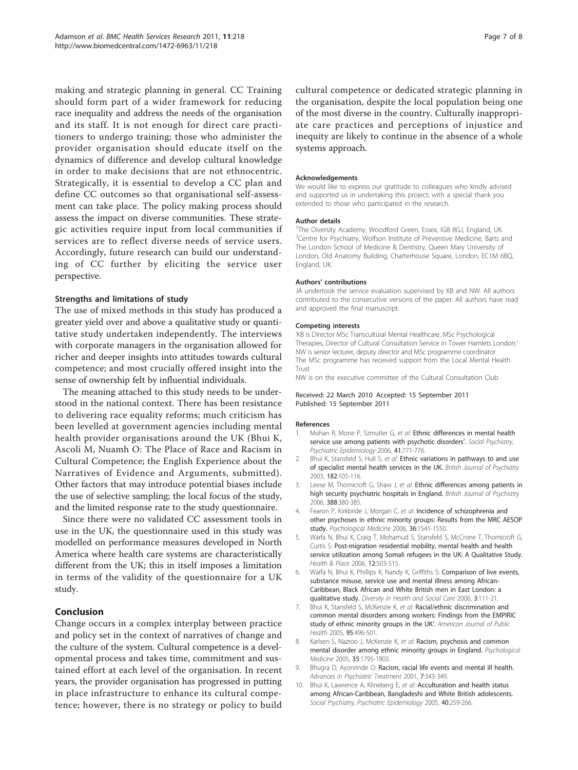<span id="page-6-0"></span>making and strategic planning in general. CC Training should form part of a wider framework for reducing race inequality and address the needs of the organisation and its staff. It is not enough for direct care practitioners to undergo training; those who administer the provider organisation should educate itself on the dynamics of difference and develop cultural knowledge in order to make decisions that are not ethnocentric. Strategically, it is essential to develop a CC plan and define CC outcomes so that organisational self-assessment can take place. The policy making process should assess the impact on diverse communities. These strategic activities require input from local communities if services are to reflect diverse needs of service users. Accordingly, future research can build our understanding of CC further by eliciting the service user perspective.

### Strengths and limitations of study

The use of mixed methods in this study has produced a greater yield over and above a qualitative study or quantitative study undertaken independently. The interviews with corporate managers in the organisation allowed for richer and deeper insights into attitudes towards cultural competence; and most crucially offered insight into the sense of ownership felt by influential individuals.

The meaning attached to this study needs to be understood in the national context. There has been resistance to delivering race equality reforms; much criticism has been levelled at government agencies including mental health provider organisations around the UK (Bhui K, Ascoli M, Nuamh O: The Place of Race and Racism in Cultural Competence; the English Experience about the Narratives of Evidence and Arguments, submitted). Other factors that may introduce potential biases include the use of selective sampling; the local focus of the study, and the limited response rate to the study questionnaire.

Since there were no validated CC assessment tools in use in the UK, the questionnaire used in this study was modelled on performance measures developed in North America where health care systems are characteristically different from the UK; this in itself imposes a limitation in terms of the validity of the questionnaire for a UK study.

### Conclusion

Change occurs in a complex interplay between practice and policy set in the context of narratives of change and the culture of the system. Cultural competence is a developmental process and takes time, commitment and sustained effort at each level of the organisation. In recent years, the provider organisation has progressed in putting in place infrastructure to enhance its cultural competence; however, there is no strategy or policy to build cultural competence or dedicated strategic planning in the organisation, despite the local population being one of the most diverse in the country. Culturally inappropriate care practices and perceptions of injustice and inequity are likely to continue in the absence of a whole systems approach.

### Acknowledgements

We would like to express our gratitude to colleagues who kindly advised and supported us in undertaking this project; with a special thank you extended to those who participated in the research.

### Author details

<sup>1</sup>The Diversity Academy, Woodford Green, Essex, IG8 8GJ, England, UK <sup>2</sup> Centre for Psychiatry, Wolfson Institute of Preventive Medicine, Barts and The London School of Medicine & Dentistry, Queen Mary University of London, Old Anatomy Building, Charterhouse Square, London, EC1M 6BQ, England, UK.

### Authors' contributions

JA undertook the service evaluation supervised by KB and NW. All authors contributed to the consecutive versions of the paper. All authors have read and approved the final manuscript.

### Competing interests

'KB is Director MSc Transcultural Mental Healthcare, MSc Psychological Therapies, Director of Cultural Consultation Service in Tower Hamlets London.' NW is senior lecturer, deputy director and MSc programme coordinator The MSc programme has received support from the Local Mental Health Trust

NW is on the executive committee of the Cultural Consultation Club

### Received: 22 March 2010 Accepted: 15 September 2011 Published: 15 September 2011

### References

- 1. Mohan R, Mone P, Szmutler G, et al: Ethnic differences in mental health service use among patients with psychotic disorders'. Social Psychiatry, Psychiatric Epidemiology 2006, 41:771-776.
- 2. Bhui K, Stansfeld S, Hull S, et al: [Ethnic variations in pathways to and use](http://www.ncbi.nlm.nih.gov/pubmed/12562737?dopt=Abstract) [of specialist mental health services in the UK.](http://www.ncbi.nlm.nih.gov/pubmed/12562737?dopt=Abstract) British Journal of Psychiatry 2003, 182:105-116.
- 3. Leese M, Thornicroft G, Shaw J, et al: Ethnic differences among patients in high security psychiatric hospitals in England. British Journal of Psychiatry 2006, 388:380-385.
- 4. Fearon P, Kirkbride J, Morgan C, et al: [Incidence of schizophrenia and](http://www.ncbi.nlm.nih.gov/pubmed/16938150?dopt=Abstract) [other psychoses in ethnic minority groups: Results from the MRC AESOP](http://www.ncbi.nlm.nih.gov/pubmed/16938150?dopt=Abstract) [study.](http://www.ncbi.nlm.nih.gov/pubmed/16938150?dopt=Abstract) Psychological Medicine 2006, 36:1541-1550.
- 5. Warfa N, Bhui K, Craig T, Mohamud S, Stansfeld S, McCrone T, Thornicroft G, Curtis S: [Post-migration residential mobility, mental health and health](http://www.ncbi.nlm.nih.gov/pubmed/21922652?dopt=Abstract) [service utilization among Somali refugees in the UK: A Qualitative Study.](http://www.ncbi.nlm.nih.gov/pubmed/21922652?dopt=Abstract) Health & Place 2006, 12:503-515.
- Warfa N, Bhui K, Phillips K, Nandy K, Griffiths S: Comparison of live events, substance misuse, service use and mental illness among African-Caribbean, Black African and White British men in East London: a qualitative study. Diversity in Health and Social Care 2006, 3:111-21.
- 7. Bhui K, Stansfeld S, McKenzie K, et al: [Racial/ethnic discrimination and](http://www.ncbi.nlm.nih.gov/pubmed/15727983?dopt=Abstract) [common mental disorders among workers: Findings from the EMPIRIC](http://www.ncbi.nlm.nih.gov/pubmed/15727983?dopt=Abstract) [study of ethnic minority groups in the UK](http://www.ncbi.nlm.nih.gov/pubmed/15727983?dopt=Abstract)'. American Journal of Public Health 2005, 95:496-501.
- 8. Karlsen S, Nazroo J, McKenzie K, et al: [Racism, psychosis and common](http://www.ncbi.nlm.nih.gov/pubmed/16194282?dopt=Abstract) [mental disorder among ethnic minority groups in England.](http://www.ncbi.nlm.nih.gov/pubmed/16194282?dopt=Abstract) Psychological Medicine 2005, 35:1795-1803.
- 9. Bhugra D, Ayonrinde O: Racism, racial life events and mental ill health. Advances in Psychiatric Treatment 2001, 7:343-349.
- 10. Bhui K, Lawrence A, Klineberg E, et al: Acculturation and health status among African-Caribbean, Bangladeshi and White British adolescents. Social Psychiatry, Psychiatric Epidemiology 2005, 40:259-266.